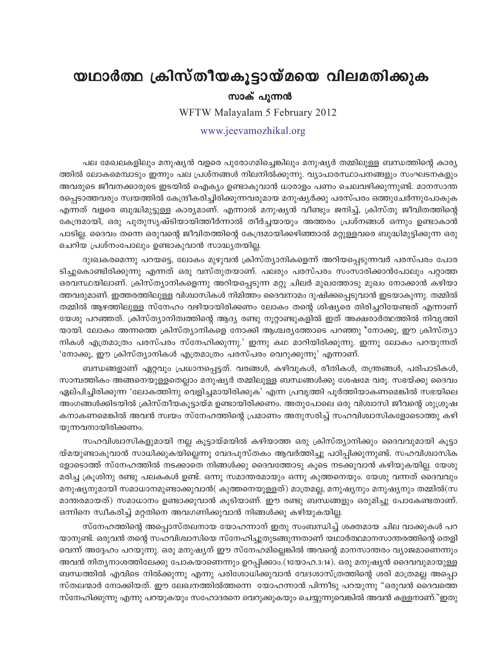## യഥാർത്ഥ ക്രിസ്തീയകൂട്ടായ്മയെ വിലമതിക്കുക

## സാക് പുന്ന**ൻ**

WFTW Malayalam 5 February 2012

## www.jeevamozhikal.org

പല മേഖലകളിലും മനുഷ്യൻ വളരെ പുരോഗമിച്ചെങ്കിലും മനുഷ്യർ തമ്മിലുള്ള ബന്ധത്തിന്റെ കാര്യ ത്തിൽ ലോകമെമ്പാടും ഇന്നും പല പ്രശ്നങ്ങൾ നിലനിൽക്കുന്നു. വ്യാപാരസ്ഥാപനങ്ങളും സംഘടനകളും അവരുടെ ജീവനക്കാരുടെ ഇടയിൽ ഐക്യം ഉണ്ടാകുവാൻ ധാരാളം പണം ചെലവഴിക്കുന്നുണ്ട്. മാനസാന്ത രപ്പെടാത്തവരും സ്വയത്തിൽ കേന്ദ്രീകരിച്ചിരിക്കുന്നവരുമായ മനുഷ്യർക്കു പരസ്പരം ഒത്തുചേർന്നുപോകുക എന്നത് വളരെ ബുദ്ധിമുട്ടുള്ള കാര്യമാണ്. എന്നാൽ മനുഷ്യൻ വീണ്ടും ജനിച്ച്, ക്രിസ്തു ജീവിതത്തിന്റെ ്കേന്ദ്രമായി, ഒരു പുതുസൃഷ്ടിയായിത്തീർന്നാൽ തീർച്ചയായും അത്തരം പ്രശ്നങ്ങൾ ഒന്നും ഉണ്ടാകാൻ പാടില്ല. ദൈവം തന്നെ ഒരുവന്റെ ജീവിതത്തിന്റെ കേന്ദ്രമായിക്കഴിഞ്ഞാൽ മറ്റുള്ളവരെ ബുദ്ധിമുട്ടിക്കുന്ന ഒരു ചെറിയ പ്രശ്നംപോലും ഉണ്ടാകുവാൻ സാദ്ധ്യതയില്ല.

ദുഃഖകരമെന്നു പറയട്ടെ, ലോകം മുഴുവൻ ക്രിസ്ത്യാനികളെന്ന് അറിയപ്പെടുന്നവർ പരസ്പരം പോര ടിച്ചുകൊണ്ടിരിക്കുന്നു എന്നത് ഒരു വസ്തുതയാണ്. പലരും പരസ്പരം സംസാരിക്കാൻപോലും പറ്റാത്ത ഒരവസ്ഥയിലാണ്. ക്രിസ്ത്യാനികളെന്നു അറിയപ്പെടുന്ന മറ്റു ചിലർ മുഖത്തോടു മുഖം നോക്കാൻ കഴിയാ ത്തവരുമാണ്. ഇത്തരത്തിലുള്ള വിശ്വാസികൾ നിമിത്തം ദൈവനാമം ദുഷിക്കപ്പെടുവാൻ ഇടയാകുന്നു. തമ്മിൽ തമ്മിൽ ആഴത്തിലുള്ള സ്നേഹം വഴിയായിരിക്കണം ലോകം തന്റെ ശിഷ്യരെ തിരിച്ചറിയേണ്ടത് എന്നാണ് യേശു പറഞ്ഞത്. ക്രിസ്ത്യാനിത്വത്തിന്റെ ആദ്യ രണ്ടു നൂറ്റാണ്ടുകളിൽ ഇത് അക്ഷരാർത്ഥത്തിൽ നിവൃത്തി യായി. ലോകം അന്നത്തെ ക്രിസ്ത്യാനികളെ നോക്കി ആശ്ചര്യത്തോടെ പറഞ്ഞു ്നോക്കു, ഈ ക്രിസ്ത്യാ നികൾ എത്രമാത്രം പരസ്പരം സ്നേഹിക്കുന്നു.' ഇന്നു കഥ മാറിയിരിക്കുന്നു. ഇന്നു ലോകം പറയുന്നത് 'നോക്കൂ, ഈ ക്രിസ്ത്യാനികൾ എത്രമാത്രം പരസ്പരം വെറുക്കുന്നു' എന്നാണ്.

ബന്ധങ്ങളാണ് ഏറ്റവും പ്രധാനപ്പെട്ടത്. വരങ്ങൾ, കഴിവുകൾ, രീതികൾ, തന്ത്രങ്ങൾ, പരിപാടികൾ, സാമ്പത്തികം അങ്ങനെയുള്ളതെല്ലാം മനുഷ്യർ തമ്മിലുള്ള ബന്ധങ്ങൾക്കു ശേഷമേ വരൂ. സഭയ്ക്കു ദൈവം ഏല്പിച്ചിരിക്കുന്ന 'ലോകത്തിനു വെളിച്ചമായിരിക്കുക' എന്ന പ്രവൃത്തി പൂർത്തിയാകണമെങ്കിൽ സഭയിലെ അംഗങ്ങൾക്കിടയിൽ ക്രിസ്തീയകുട്ടായ്മ ഉണ്ടായിരിക്കണം. അതുപോലെ ഒരു വിശ്വാസി ജീവന്റെ ശുശ്രുഷ കനാകണമെങ്കിൽ അവൻ സ്വയം സ്നേഹത്തിന്റെ പ്രമാണം അനുസരിച്ച് സഹവിശ്വാസികളോടൊത്തു കഴി യുന്നവനായിരിക്കണം.

സഹവിശ്വാസികളുമായി നല്ല കൂട്ടായ്മയിൽ കഴിയാത്ത ഒരു ക്രിസ്ത്യാനിക്കും ദൈവവുമായി കൂട്ടാ യ്മയുണ്ടാകുവാൻ സാധിക്കുകയില്ലെന്നു വേദപുസ്തകം ആവർത്തിച്ചു പഠിപ്പിക്കുന്നുണ്ട്. സഹവിശ്വാസിക ളോടൊത്ത് സ്നേഹത്തിൽ നടക്കാതെ നിങ്ങൾക്കു ദൈവത്തോടു കൂടെ നടക്കുവാൻ കഴിയുകയില്ല. യേശു മരിച്ച ക്രൂശിനു രണ്ടു പലകകൾ ഉണ്ട്. ഒന്നു സമാന്തരമായും ഒന്നു കുത്തനെയും. യേശു വന്നത് ദൈവവും മനുഷ്യനുമായി സമാധാനമുണ്ടാക്കുവാൻ( കുത്തനെയുള്ളത്) മാത്രമല്ല, മനുഷ്യനും മനുഷ്യനും തമ്മിൽ(സ മാന്തരമായത്) സമാധാനം ഉണ്ടാക്കുവാൻ കൂടിയാണ്. ഈ രണ്ടു ബന്ധങ്ങളും ഒരുമിച്ചു പോകേണ്ടതാണ്. ഒന്നിനെ സ്വീകരിച്ച് മറ്റതിനെ അവഗണിക്കുവാൻ നിങ്ങൾക്കു കഴിയുകയില്ല.

സ്നേഹത്തിന്റെ അപ്പൊസ്തലനായ യോഹന്നാന് ഇതു സംബന്ധിച്ച് ശക്തമായ ചില വാക്കുകൾ പറ യാനുണ്ട്. ഒരുവൻ തന്റെ സഹവിശ്വാസിയെ സ്നേഹിച്ചുതുടങ്ങുന്നതാണ് യഥാർത്ഥമാനസാന്തരത്തിന്റെ തെളി വെന്ന് അദ്ദേഹം പറയുന്നു. ഒരു മനുഷ്യന് ഈ സ്നേഹമില്ലെങ്കിൽ അവന്റെ മാനസാന്തരം വ്യാജമാണെന്നും അവൻ നിതൃനാശത്തിലേക്കു പോകയാണെന്നും ഉറപ്പിക്കാം.(1യോഹ.3:14). ഒരു മനുഷൃൻ ദൈവവുമായുള്ള  $\,$ ബന്ധത്തിൽ എവിടെ നിൽക്കുന്നു എന്നു പരിശോധിക്കുവാൻ വേദശാസ്ത്രത്തിന്റെ ശരി മാത്രമല്ല അപ്പൊ സ്തലന്മാർ നോക്കിയത്. ഈ ലേഖനത്തിൽത്തന്നെ യോഹന്നാൻ പിന്നീടു പറയുന്നു "ഒരുവൻ ദൈവത്തെ സ്നേഹിക്കുന്നു എന്നു പറയുകയും സഹോദരനെ വെറുക്കുകയും ചെയ്യുന്നുവെങ്കിൽ അവൻ കള്ളനാണ്."ഇതു